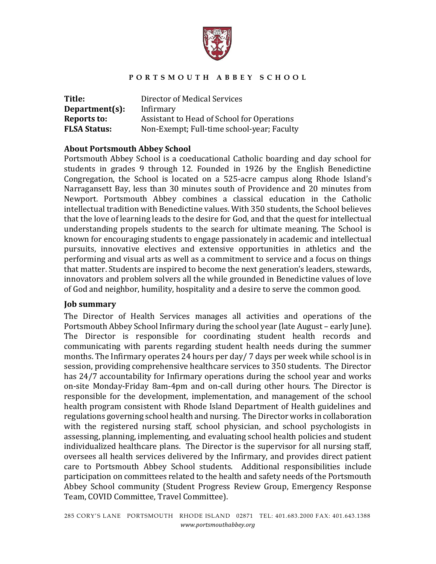

| Title:              | Director of Medical Services               |
|---------------------|--------------------------------------------|
| Department(s):      | Infirmary                                  |
| Reports to:         | Assistant to Head of School for Operations |
| <b>FLSA Status:</b> | Non-Exempt; Full-time school-year; Faculty |

# **About Portsmouth Abbey School**

Portsmouth Abbey School is a coeducational Catholic boarding and day school for students in grades 9 through 12. Founded in 1926 by the English Benedictine Congregation, the School is located on a 525-acre campus along Rhode Island's Narragansett Bay, less than 30 minutes south of Providence and 20 minutes from Newport. Portsmouth Abbey combines a classical education in the Catholic intellectual tradition with Benedictine values. With 350 students, the School believes that the love of learning leads to the desire for God, and that the quest for intellectual understanding propels students to the search for ultimate meaning. The School is known for encouraging students to engage passionately in academic and intellectual pursuits, innovative electives and extensive opportunities in athletics and the performing and visual arts as well as a commitment to service and a focus on things that matter. Students are inspired to become the next generation's leaders, stewards, innovators and problem solvers all the while grounded in Benedictine values of love of God and neighbor, humility, hospitality and a desire to serve the common good.

### **Job summary**

The Director of Health Services manages all activities and operations of the Portsmouth Abbey School Infirmary during the school year (late August – early June). The Director is responsible for coordinating student health records and communicating with parents regarding student health needs during the summer months. The Infirmary operates 24 hours per day/ 7 days per week while school is in session, providing comprehensive healthcare services to 350 students. The Director has 24/7 accountability for Infirmary operations during the school year and works on-site Monday-Friday 8am-4pm and on-call during other hours. The Director is responsible for the development, implementation, and management of the school health program consistent with Rhode Island Department of Health guidelines and regulations governing school health and nursing. The Director works in collaboration with the registered nursing staff, school physician, and school psychologists in assessing, planning, implementing, and evaluating school health policies and student individualized healthcare plans. The Director is the supervisor for all nursing staff, oversees all health services delivered by the Infirmary, and provides direct patient care to Portsmouth Abbey School students. Additional responsibilities include participation on committees related to the health and safety needs of the Portsmouth Abbey School community (Student Progress Review Group, Emergency Response Team, COVID Committee, Travel Committee).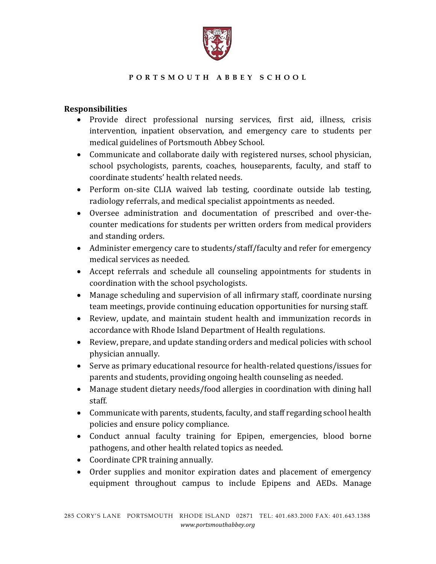

# **Responsibilities**

- Provide direct professional nursing services, first aid, illness, crisis intervention, inpatient observation, and emergency care to students per medical guidelines of Portsmouth Abbey School.
- Communicate and collaborate daily with registered nurses, school physician, school psychologists, parents, coaches, houseparents, faculty, and staff to coordinate students' health related needs.
- Perform on-site CLIA waived lab testing, coordinate outside lab testing, radiology referrals, and medical specialist appointments as needed.
- Oversee administration and documentation of prescribed and over-thecounter medications for students per written orders from medical providers and standing orders.
- Administer emergency care to students/staff/faculty and refer for emergency medical services as needed.
- Accept referrals and schedule all counseling appointments for students in coordination with the school psychologists.
- Manage scheduling and supervision of all infirmary staff, coordinate nursing team meetings, provide continuing education opportunities for nursing staff.
- Review, update, and maintain student health and immunization records in accordance with Rhode Island Department of Health regulations.
- Review, prepare, and update standing orders and medical policies with school physician annually.
- Serve as primary educational resource for health-related questions/issues for parents and students, providing ongoing health counseling as needed.
- Manage student dietary needs/food allergies in coordination with dining hall staff.
- Communicate with parents, students, faculty, and staff regarding school health policies and ensure policy compliance.
- Conduct annual faculty training for Epipen, emergencies, blood borne pathogens, and other health related topics as needed.
- Coordinate CPR training annually.
- Order supplies and monitor expiration dates and placement of emergency equipment throughout campus to include Epipens and AEDs. Manage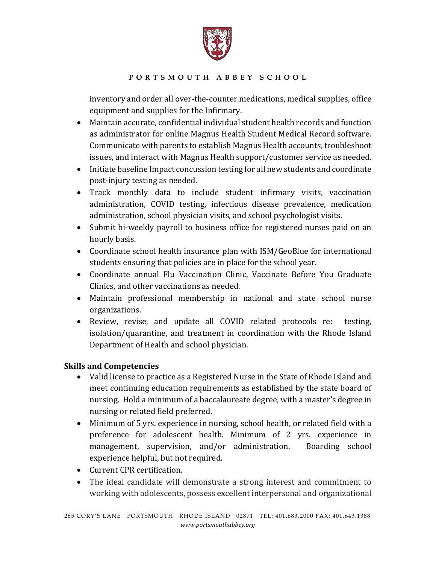

inventory and order all over-the-counter medications, medical supplies, office equipment and supplies for the Infirmary.

- Maintain accurate, confidential individual student health records and function as administrator for online Magnus Health Student Medical Record software. Communicate with parents to establish Magnus Health accounts, troubleshoot issues, and interact with Magnus Health support/customer service as needed.
- Initiate baseline Impact concussion testing for all new students and coordinate post-injury testing as needed.
- Track monthly data to include student infirmary visits, vaccination administration, COVID testing, infectious disease prevalence, medication administration, school physician visits, and school psychologist visits.
- Submit bi-weekly payroll to business office for registered nurses paid on an hourly basis.
- Coordinate school health insurance plan with ISM/GeoBlue for international students ensuring that policies are in place for the school year.
- Coordinate annual Flu Vaccination Clinic, Vaccinate Before You Graduate Clinics, and other vaccinations as needed.
- Maintain professional membership in national and state school nurse organizations.
- Review, revise, and update all COVID related protocols re: testing, isolation/quarantine, and treatment in coordination with the Rhode Island Department of Health and school physician.

# **Skills and Competencies**

- Valid license to practice as a Registered Nurse in the State of Rhode Island and meet continuing education requirements as established by the state board of nursing. Hold a minimum of a baccalaureate degree, with a master's degree in nursing or related field preferred.
- Minimum of 5 yrs. experience in nursing, school health, or related field with a preference for adolescent health. Minimum of 2 yrs. experience in management, supervision, and/or administration. Boarding school experience helpful, but not required.
- Current CPR certification.
- The ideal candidate will demonstrate a strong interest and commitment to working with adolescents, possess excellent interpersonal and organizational